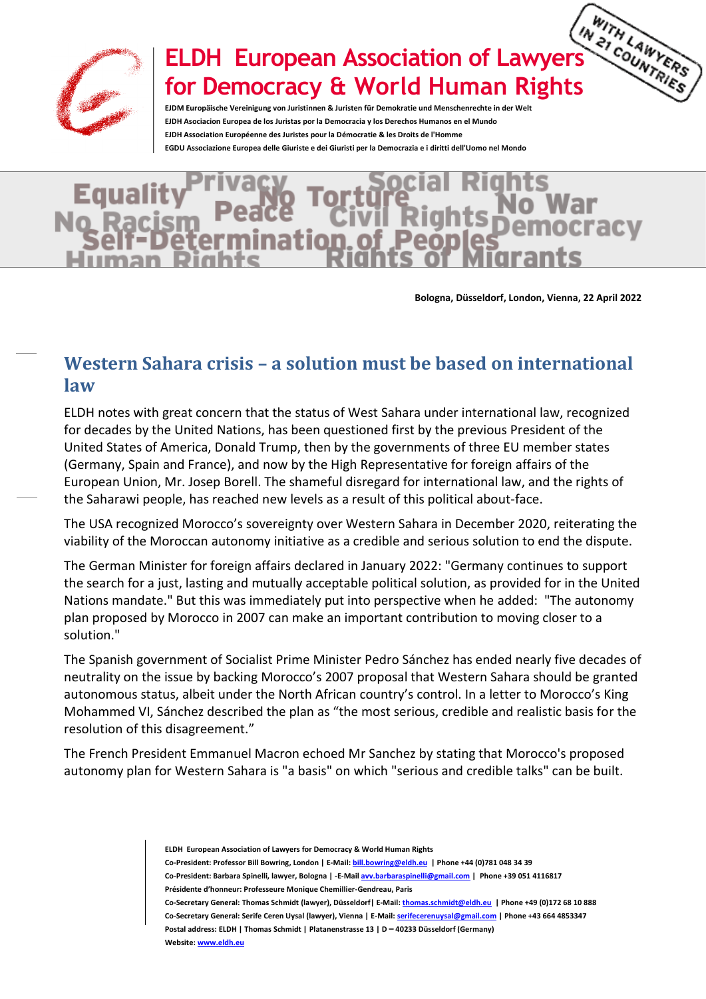

## ELDH European Association of Lawyers <sup>22</sup> Country Reps<br>COUNTRIES **for Democracy & World Human Rights**

**EJDM Europäische Vereinigung von Juristinnen & Juristen für Demokratie und Menschenrechte in der Welt EJDH Asociacion Europea de los Juristas por la Democracia y los Derechos Humanos en el Mundo EJDH Association Européenne des Juristes pour la Démocratie & les Droits de l'Homme EGDU Associazione Europea delle Giuriste e dei Giuristi per la Democrazia e i diritti dell'Uomo nel Mondo**

## Egual tion

**Bologna, Düsseldorf, London, Vienna, 22 April 2022**

## **Western Sahara crisis – a solution must be based on international law**

ELDH notes with great concern that the status of West Sahara under international law, recognized for decades by the United Nations, has been questioned first by the previous President of the United States of America, Donald Trump, then by the governments of three EU member states (Germany, Spain and France), and now by the High Representative for foreign affairs of the European Union, Mr. Josep Borell. The shameful disregard for international law, and the rights of the Saharawi people, has reached new levels as a result of this political about-face.

The USA recognized Morocco's sovereignty over Western Sahara in December 2020, reiterating the viability of the Moroccan autonomy initiative as a credible and serious solution to end the dispute.

The German Minister for foreign affairs declared in January 2022: "Germany continues to support the search for a just, lasting and mutually acceptable political solution, as provided for in the United Nations mandate." But this was immediately put into perspective when he added: "The autonomy plan proposed by Morocco in 2007 can make an important contribution to moving closer to a solution."

The Spanish government of Socialist Prime Minister Pedro Sánchez has ended nearly five decades of neutrality on the issue by backing Morocco's 2007 proposal that Western Sahara should be granted autonomous status, albeit under the North African country's control. In a letter to Morocco's King Mohammed VI, Sánchez described the plan as "the most serious, credible and realistic basis for the resolution of this disagreement."

The French President Emmanuel Macron echoed Mr Sanchez by stating that Morocco's proposed autonomy plan for Western Sahara is "a basis" on which "serious and credible talks" can be built.

**ELDH European Association of Lawyers for Democracy & World Human Rights** 

**Co-President: Professor Bill Bowring, London | E-Mail[: bill.bowring@eldh.eu](mailto:bill.bowring@eldh.eu) | Phone +44 (0)781 048 34 39 Co-President: Barbara Spinelli, lawyer, Bologna | -E-Mai[l avv.barbaraspinelli@gmail.com](mailto:avv.barbaraspinelli@gmail.com) | Phone +39 051 4116817 Présidente d'honneur: Professeure Monique Chemillier-Gendreau, Paris**

**Co-Secretary General: Thomas Schmidt (lawyer), Düsseldorf| E-Mail[: thomas.schmidt@eldh.eu](mailto:thomas.schmidt@eldh.eu) | Phone +49 (0)172 68 10 888 Co-Secretary General: Serife Ceren Uysal (lawyer), Vienna | E-Mail[: serifecerenuysal@gmail.com](mailto:serifecerenuysal@gmail.com) | Phone +43 664 4853347 Postal address: ELDH | Thomas Schmidt | Platanenstrasse 13 | D – 40233 Düsseldorf (Germany)**

**Website[: www.eldh.eu](http://www.eldh.eu/)**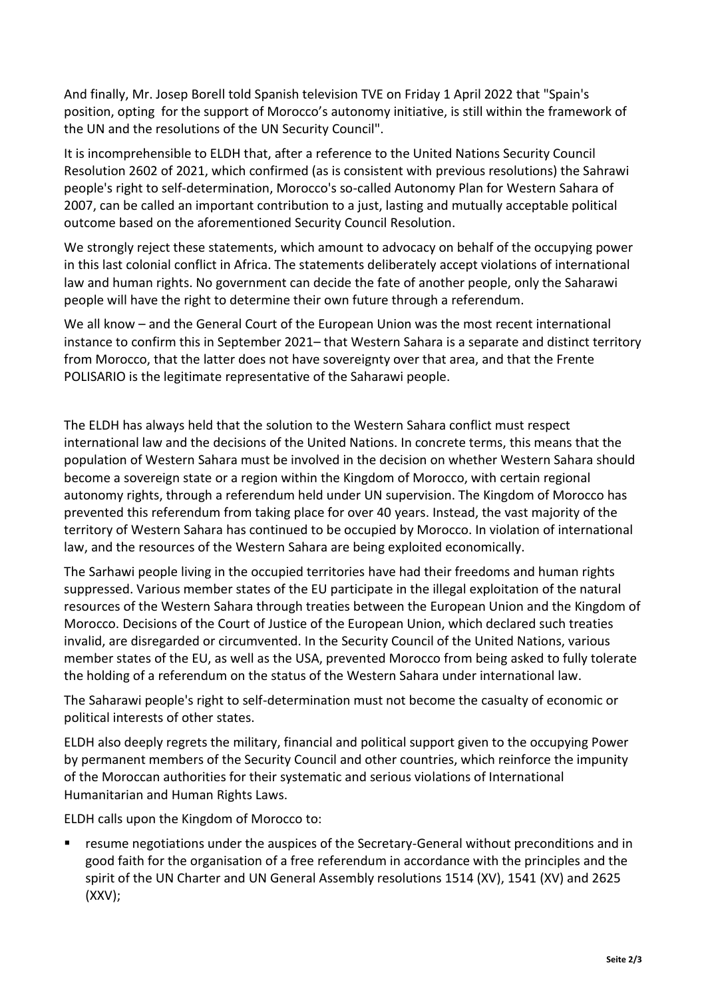And finally, Mr. Josep Borell told Spanish television TVE on Friday 1 April 2022 that "Spain's position, opting for the support of Morocco's autonomy initiative, is still within the framework of the UN and the resolutions of the UN Security Council".

It is incomprehensible to ELDH that, after a reference to the United Nations Security Council Resolution 2602 of 2021, which confirmed (as is consistent with previous resolutions) the Sahrawi people's right to self-determination, Morocco's so-called Autonomy Plan for Western Sahara of 2007, can be called an important contribution to a just, lasting and mutually acceptable political outcome based on the aforementioned Security Council Resolution.

We strongly reject these statements, which amount to advocacy on behalf of the occupying power in this last colonial conflict in Africa. The statements deliberately accept violations of international law and human rights. No government can decide the fate of another people, only the Saharawi people will have the right to determine their own future through a referendum.

We all know – and the General Court of the European Union was the most recent international instance to confirm this in September 2021– that Western Sahara is a separate and distinct territory from Morocco, that the latter does not have sovereignty over that area, and that the Frente POLISARIO is the legitimate representative of the Saharawi people.

The ELDH has always held that the solution to the Western Sahara conflict must respect international law and the decisions of the United Nations. In concrete terms, this means that the population of Western Sahara must be involved in the decision on whether Western Sahara should become a sovereign state or a region within the Kingdom of Morocco, with certain regional autonomy rights, through a referendum held under UN supervision. The Kingdom of Morocco has prevented this referendum from taking place for over 40 years. Instead, the vast majority of the territory of Western Sahara has continued to be occupied by Morocco. In violation of international law, and the resources of the Western Sahara are being exploited economically.

The Sarhawi people living in the occupied territories have had their freedoms and human rights suppressed. Various member states of the EU participate in the illegal exploitation of the natural resources of the Western Sahara through treaties between the European Union and the Kingdom of Morocco. Decisions of the Court of Justice of the European Union, which declared such treaties invalid, are disregarded or circumvented. In the Security Council of the United Nations, various member states of the EU, as well as the USA, prevented Morocco from being asked to fully tolerate the holding of a referendum on the status of the Western Sahara under international law.

The Saharawi people's right to self-determination must not become the casualty of economic or political interests of other states.

ELDH also deeply regrets the military, financial and political support given to the occupying Power by permanent members of the Security Council and other countries, which reinforce the impunity of the Moroccan authorities for their systematic and serious violations of International Humanitarian and Human Rights Laws.

ELDH calls upon the Kingdom of Morocco to:

resume negotiations under the auspices of the Secretary-General without preconditions and in good faith for the organisation of a free referendum in accordance with the principles and the spirit of the UN Charter and UN General Assembly resolutions 1514 (XV), 1541 (XV) and 2625 (XXV);